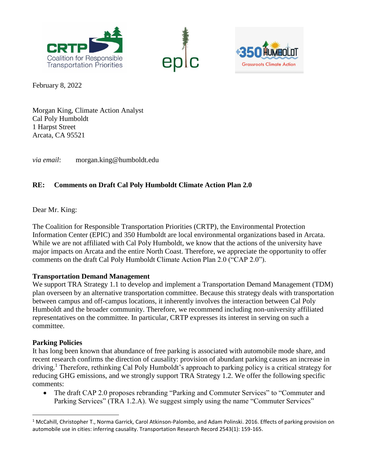





February 8, 2022

Morgan King, Climate Action Analyst Cal Poly Humboldt 1 Harpst Street Arcata, CA 95521

*via email*: morgan.king@humboldt.edu

# **RE: Comments on Draft Cal Poly Humboldt Climate Action Plan 2.0**

Dear Mr. King:

The Coalition for Responsible Transportation Priorities (CRTP), the Environmental Protection Information Center (EPIC) and 350 Humboldt are local environmental organizations based in Arcata. While we are not affiliated with Cal Poly Humboldt, we know that the actions of the university have major impacts on Arcata and the entire North Coast. Therefore, we appreciate the opportunity to offer comments on the draft Cal Poly Humboldt Climate Action Plan 2.0 ("CAP 2.0").

## **Transportation Demand Management**

We support TRA Strategy 1.1 to develop and implement a Transportation Demand Management (TDM) plan overseen by an alternative transportation committee. Because this strategy deals with transportation between campus and off-campus locations, it inherently involves the interaction between Cal Poly Humboldt and the broader community. Therefore, we recommend including non-university affiliated representatives on the committee. In particular, CRTP expresses its interest in serving on such a committee.

## **Parking Policies**

l

It has long been known that abundance of free parking is associated with automobile mode share, and recent research confirms the direction of causality: provision of abundant parking causes an increase in driving.<sup>1</sup> Therefore, rethinking Cal Poly Humboldt's approach to parking policy is a critical strategy for reducing GHG emissions, and we strongly support TRA Strategy 1.2. We offer the following specific comments:

 The draft CAP 2.0 proposes rebranding "Parking and Commuter Services" to "Commuter and Parking Services" (TRA 1.2.A). We suggest simply using the name "Commuter Services"

 $1$  McCahill, Christopher T., Norma Garrick, Carol Atkinson-Palombo, and Adam Polinski. 2016. Effects of parking provision on automobile use in cities: inferring causality. Transportation Research Record 2543(1): 159-165.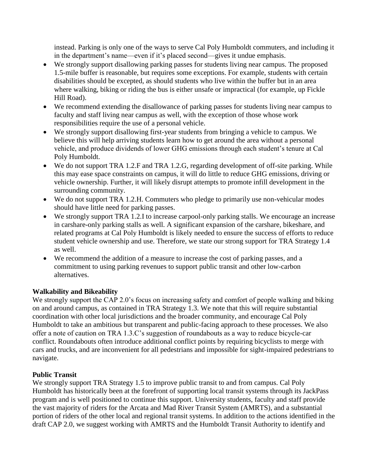instead. Parking is only one of the ways to serve Cal Poly Humboldt commuters, and including it in the department's name—even if it's placed second—gives it undue emphasis.

- We strongly support disallowing parking passes for students living near campus. The proposed 1.5-mile buffer is reasonable, but requires some exceptions. For example, students with certain disabilities should be excepted, as should students who live within the buffer but in an area where walking, biking or riding the bus is either unsafe or impractical (for example, up Fickle Hill Road).
- We recommend extending the disallowance of parking passes for students living near campus to faculty and staff living near campus as well, with the exception of those whose work responsibilities require the use of a personal vehicle.
- We strongly support disallowing first-year students from bringing a vehicle to campus. We believe this will help arriving students learn how to get around the area without a personal vehicle, and produce dividends of lower GHG emissions through each student's tenure at Cal Poly Humboldt.
- We do not support TRA 1.2.F and TRA 1.2.G, regarding development of off-site parking. While this may ease space constraints on campus, it will do little to reduce GHG emissions, driving or vehicle ownership. Further, it will likely disrupt attempts to promote infill development in the surrounding community.
- We do not support TRA 1.2.H. Commuters who pledge to primarily use non-vehicular modes should have little need for parking passes.
- We strongly support TRA 1.2.I to increase carpool-only parking stalls. We encourage an increase in carshare-only parking stalls as well. A significant expansion of the carshare, bikeshare, and related programs at Cal Poly Humboldt is likely needed to ensure the success of efforts to reduce student vehicle ownership and use. Therefore, we state our strong support for TRA Strategy 1.4 as well.
- We recommend the addition of a measure to increase the cost of parking passes, and a commitment to using parking revenues to support public transit and other low-carbon alternatives.

## **Walkability and Bikeability**

We strongly support the CAP 2.0's focus on increasing safety and comfort of people walking and biking on and around campus, as contained in TRA Strategy 1.3. We note that this will require substantial coordination with other local jurisdictions and the broader community, and encourage Cal Poly Humboldt to take an ambitious but transparent and public-facing approach to these processes. We also offer a note of caution on TRA 1.3.C's suggestion of roundabouts as a way to reduce bicycle-car conflict. Roundabouts often introduce additional conflict points by requiring bicyclists to merge with cars and trucks, and are inconvenient for all pedestrians and impossible for sight-impaired pedestrians to navigate.

## **Public Transit**

We strongly support TRA Strategy 1.5 to improve public transit to and from campus. Cal Poly Humboldt has historically been at the forefront of supporting local transit systems through its JackPass program and is well positioned to continue this support. University students, faculty and staff provide the vast majority of riders for the Arcata and Mad River Transit System (AMRTS), and a substantial portion of riders of the other local and regional transit systems. In addition to the actions identified in the draft CAP 2.0, we suggest working with AMRTS and the Humboldt Transit Authority to identify and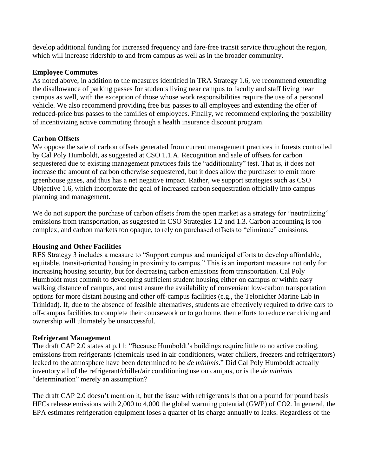develop additional funding for increased frequency and fare-free transit service throughout the region, which will increase ridership to and from campus as well as in the broader community.

### **Employee Commutes**

As noted above, in addition to the measures identified in TRA Strategy 1.6, we recommend extending the disallowance of parking passes for students living near campus to faculty and staff living near campus as well, with the exception of those whose work responsibilities require the use of a personal vehicle. We also recommend providing free bus passes to all employees and extending the offer of reduced-price bus passes to the families of employees. Finally, we recommend exploring the possibility of incentivizing active commuting through a health insurance discount program.

### **Carbon Offsets**

We oppose the sale of carbon offsets generated from current management practices in forests controlled by Cal Poly Humboldt, as suggested at CSO 1.1.A. Recognition and sale of offsets for carbon sequestered due to existing management practices fails the "additionality" test. That is, it does not increase the amount of carbon otherwise sequestered, but it does allow the purchaser to emit more greenhouse gases, and thus has a net negative impact. Rather, we support strategies such as CSO Objective 1.6, which incorporate the goal of increased carbon sequestration officially into campus planning and management.

We do not support the purchase of carbon offsets from the open market as a strategy for "neutralizing" emissions from transportation, as suggested in CSO Strategies 1.2 and 1.3. Carbon accounting is too complex, and carbon markets too opaque, to rely on purchased offsets to "eliminate" emissions.

## **Housing and Other Facilities**

RES Strategy 3 includes a measure to "Support campus and municipal efforts to develop affordable, equitable, transit-oriented housing in proximity to campus." This is an important measure not only for increasing housing security, but for decreasing carbon emissions from transportation. Cal Poly Humboldt must commit to developing sufficient student housing either on campus or within easy walking distance of campus, and must ensure the availability of convenient low-carbon transportation options for more distant housing and other off-campus facilities (e.g., the Telonicher Marine Lab in Trinidad). If, due to the absence of feasible alternatives, students are effectively required to drive cars to off-campus facilities to complete their coursework or to go home, then efforts to reduce car driving and ownership will ultimately be unsuccessful.

#### **Refrigerant Management**

The draft CAP 2.0 states at p.11: "Because Humboldt's buildings require little to no active cooling, emissions from refrigerants (chemicals used in air conditioners, water chillers, freezers and refrigerators) leaked to the atmosphere have been determined to be *de minimis*." Did Cal Poly Humboldt actually inventory all of the refrigerant/chiller/air conditioning use on campus, or is the *de minimis* "determination" merely an assumption?

The draft CAP 2.0 doesn't mention it, but the issue with refrigerants is that on a pound for pound basis HFCs release emissions with 2,000 to 4,000 the global warming potential (GWP) of CO2. In general, the EPA estimates refrigeration equipment loses a quarter of its charge annually to leaks. Regardless of the